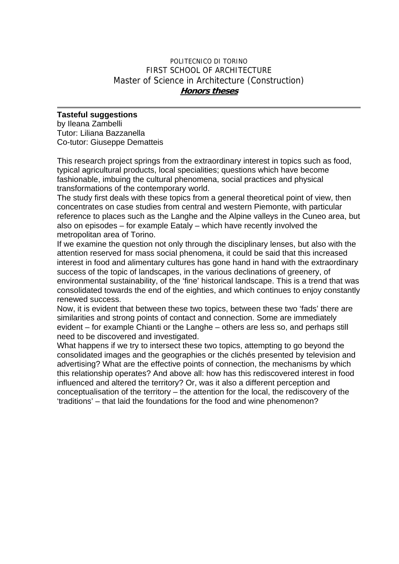## POLITECNICO DI TORINO FIRST SCHOOL OF ARCHITECTURE Master of Science in Architecture (Construction) **Honors theses**

## **Tasteful suggestions**

by Ileana Zambelli Tutor: Liliana Bazzanella Co-tutor: Giuseppe Dematteis

This research project springs from the extraordinary interest in topics such as food, typical agricultural products, local specialities; questions which have become fashionable, imbuing the cultural phenomena, social practices and physical transformations of the contemporary world.

The study first deals with these topics from a general theoretical point of view, then concentrates on case studies from central and western Piemonte, with particular reference to places such as the Langhe and the Alpine valleys in the Cuneo area, but also on episodes – for example Eataly – which have recently involved the metropolitan area of Torino.

If we examine the question not only through the disciplinary lenses, but also with the attention reserved for mass social phenomena, it could be said that this increased interest in food and alimentary cultures has gone hand in hand with the extraordinary success of the topic of landscapes, in the various declinations of greenery, of environmental sustainability, of the 'fine' historical landscape. This is a trend that was consolidated towards the end of the eighties, and which continues to enjoy constantly renewed success.

Now, it is evident that between these two topics, between these two 'fads' there are similarities and strong points of contact and connection. Some are immediately evident – for example Chianti or the Langhe – others are less so, and perhaps still need to be discovered and investigated.

What happens if we try to intersect these two topics, attempting to go beyond the consolidated images and the geographies or the clichés presented by television and advertising? What are the effective points of connection, the mechanisms by which this relationship operates? And above all: how has this rediscovered interest in food influenced and altered the territory? Or, was it also a different perception and conceptualisation of the territory – the attention for the local, the rediscovery of the 'traditions' – that laid the foundations for the food and wine phenomenon?